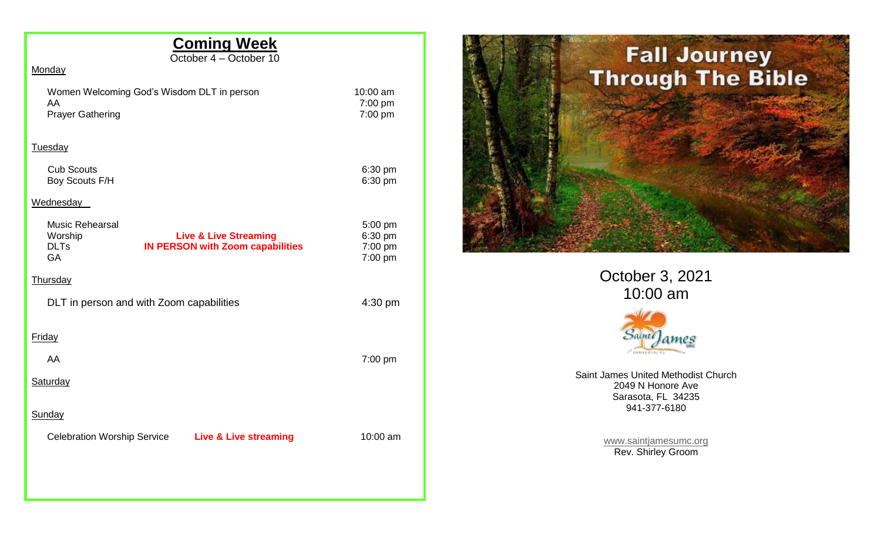## **Coming Week**

October 4 – October 10

## **Monday**

| Women Welcoming God's Wisdom DLT in person |  |
|--------------------------------------------|--|
| AA                                         |  |
| <b>Prayer Gathering</b>                    |  |

 $10:00$  am 7:00 pm  $7:00$  pm

## Tuesday

| <b>Cub Scouts</b> | $6:30$ pm         |
|-------------------|-------------------|
| Boy Scouts F/H    | $6:30 \text{ pm}$ |

## **Wednesday**

|                                          | <b>Music Rehearsal</b><br>Worship<br><b>DLTs</b><br>GA |  | <b>Live &amp; Live Streaming</b><br><b>IN PERSON with Zoom capabilities</b> |  | 5:00 pm<br>6:30 pm<br>7:00 pm<br>7:00 pm |
|------------------------------------------|--------------------------------------------------------|--|-----------------------------------------------------------------------------|--|------------------------------------------|
|                                          | <b>Thursday</b>                                        |  |                                                                             |  |                                          |
| DLT in person and with Zoom capabilities |                                                        |  |                                                                             |  | 4:30 pm                                  |
|                                          | <b>Friday</b>                                          |  |                                                                             |  |                                          |
|                                          | AA                                                     |  |                                                                             |  | $7:00$ pm                                |
|                                          | <b>Saturday</b>                                        |  |                                                                             |  |                                          |
|                                          | <b>Sunday</b>                                          |  |                                                                             |  |                                          |
|                                          | <b>Celebration Worship Service</b>                     |  | <b>Live &amp; Live streaming</b>                                            |  | 10:00 am                                 |
|                                          |                                                        |  |                                                                             |  |                                          |
|                                          |                                                        |  |                                                                             |  |                                          |



October 3, 2021 10:00 am



Saint James United Methodist Church 2049 N Honore Ave Sarasota, FL 34235 941-377-6180

> [www.saintjamesumc.org](http://www.saintjamesumc.org/) Rev. Shirley Groom